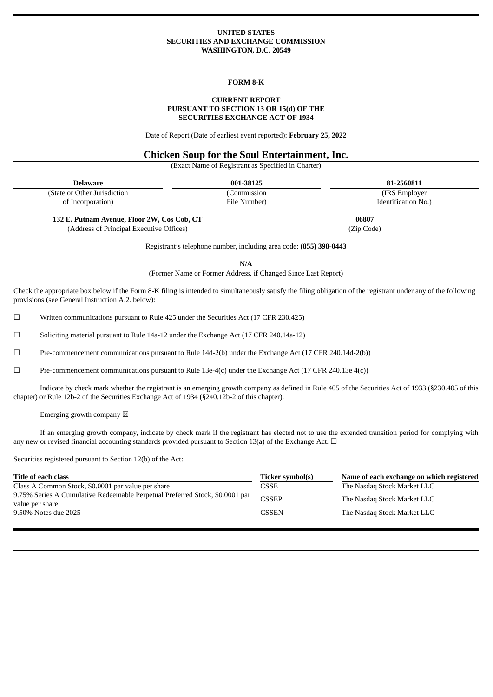## **UNITED STATES SECURITIES AND EXCHANGE COMMISSION WASHINGTON, D.C. 20549**

### **FORM 8-K**

## **CURRENT REPORT PURSUANT TO SECTION 13 OR 15(d) OF THE SECURITIES EXCHANGE ACT OF 1934**

Date of Report (Date of earliest event reported): **February 25, 2022**

# **Chicken Soup for the Soul Entertainment, Inc.**

(Exact Name of Registrant as Specified in Charter)

| <b>Delaware</b>                             | 001-38125    | 81-2560811          |  |
|---------------------------------------------|--------------|---------------------|--|
| (State or Other Jurisdiction)               | (Commission  | (IRS Employer)      |  |
| of Incorporation)                           | File Number) | Identification No.) |  |
| 132 E. Putnam Avenue, Floor 2W, Cos Cob, CT |              | 06807               |  |
| (Address of Principal Executive Offices)    |              | (Zip Code)          |  |

Registrant's telephone number, including area code: **(855) 398-0443**

**N/A**

(Former Name or Former Address, if Changed Since Last Report)

Check the appropriate box below if the Form 8-K filing is intended to simultaneously satisfy the filing obligation of the registrant under any of the following provisions (see General Instruction A.2. below):

☐ Written communications pursuant to Rule 425 under the Securities Act (17 CFR 230.425)

☐ Soliciting material pursuant to Rule 14a-12 under the Exchange Act (17 CFR 240.14a-12)

☐ Pre-commencement communications pursuant to Rule 14d-2(b) under the Exchange Act (17 CFR 240.14d-2(b))

☐ Pre-commencement communications pursuant to Rule 13e-4(c) under the Exchange Act (17 CFR 240.13e 4(c))

Indicate by check mark whether the registrant is an emerging growth company as defined in Rule 405 of the Securities Act of 1933 (§230.405 of this chapter) or Rule 12b-2 of the Securities Exchange Act of 1934 (§240.12b-2 of this chapter).

Emerging growth company  $\boxtimes$ 

If an emerging growth company, indicate by check mark if the registrant has elected not to use the extended transition period for complying with any new or revised financial accounting standards provided pursuant to Section 13(a) of the Exchange Act.  $\Box$ 

Securities registered pursuant to Section 12(b) of the Act:

| Title of each class                                                                             | Ticker symbol(s) | Name of each exchange on which registered |
|-------------------------------------------------------------------------------------------------|------------------|-------------------------------------------|
| Class A Common Stock, \$0.0001 par value per share                                              | CSSE             | The Nasdaq Stock Market LLC               |
| 9.75% Series A Cumulative Redeemable Perpetual Preferred Stock, \$0.0001 par<br>value per share | <b>CSSEP</b>     | The Nasdag Stock Market LLC               |
| 9.50% Notes due 2025                                                                            | <b>CSSEN</b>     | The Nasdag Stock Market LLC               |
|                                                                                                 |                  |                                           |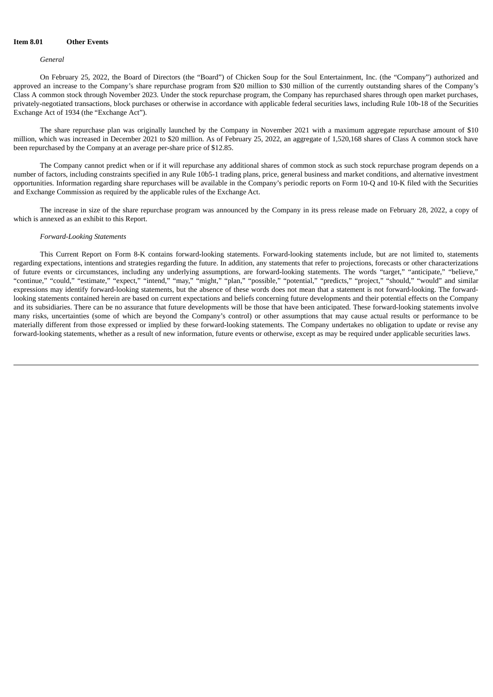## **Item 8.01 Other Events**

#### *General*

On February 25, 2022, the Board of Directors (the "Board") of Chicken Soup for the Soul Entertainment, Inc. (the "Company") authorized and approved an increase to the Company's share repurchase program from \$20 million to \$30 million of the currently outstanding shares of the Company's Class A common stock through November 2023. Under the stock repurchase program, the Company has repurchased shares through open market purchases, privately-negotiated transactions, block purchases or otherwise in accordance with applicable federal securities laws, including Rule 10b-18 of the Securities Exchange Act of 1934 (the "Exchange Act").

The share repurchase plan was originally launched by the Company in November 2021 with a maximum aggregate repurchase amount of \$10 million, which was increased in December 2021 to \$20 million. As of February 25, 2022, an aggregate of 1,520,168 shares of Class A common stock have been repurchased by the Company at an average per-share price of \$12.85.

The Company cannot predict when or if it will repurchase any additional shares of common stock as such stock repurchase program depends on a number of factors, including constraints specified in any Rule 10b5-1 trading plans, price, general business and market conditions, and alternative investment opportunities. Information regarding share repurchases will be available in the Company's periodic reports on Form 10-Q and 10-K filed with the Securities and Exchange Commission as required by the applicable rules of the Exchange Act.

The increase in size of the share repurchase program was announced by the Company in its press release made on February 28, 2022, a copy of which is annexed as an exhibit to this Report.

#### *Forward-Looking Statements*

This Current Report on Form 8-K contains forward-looking statements. Forward-looking statements include, but are not limited to, statements regarding expectations, intentions and strategies regarding the future. In addition, any statements that refer to projections, forecasts or other characterizations of future events or circumstances, including any underlying assumptions, are forward-looking statements. The words "target," "anticipate," "believe," "continue," "could," "estimate," "expect," "intend," "may," "might," "plan," "possible," "potential," "predicts," "project," "should," "would" and similar expressions may identify forward-looking statements, but the absence of these words does not mean that a statement is not forward-looking. The forwardlooking statements contained herein are based on current expectations and beliefs concerning future developments and their potential effects on the Company and its subsidiaries. There can be no assurance that future developments will be those that have been anticipated. These forward-looking statements involve many risks, uncertainties (some of which are beyond the Company's control) or other assumptions that may cause actual results or performance to be materially different from those expressed or implied by these forward-looking statements. The Company undertakes no obligation to update or revise any forward-looking statements, whether as a result of new information, future events or otherwise, except as may be required under applicable securities laws.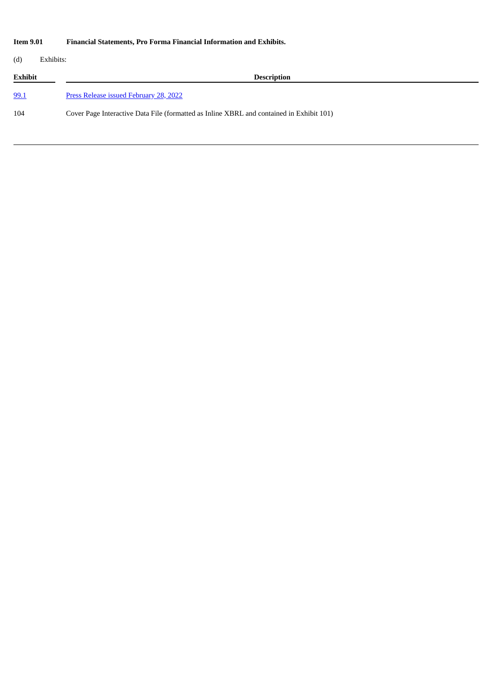# **Item 9.01 Financial Statements, Pro Forma Financial Information and Exhibits.**

(d) Exhibits:

**Exhibit Description** [99.1](#page-4-0) Press Release issued [February](#page-4-0) 28, 2022

104 Cover Page Interactive Data File (formatted as Inline XBRL and contained in Exhibit 101)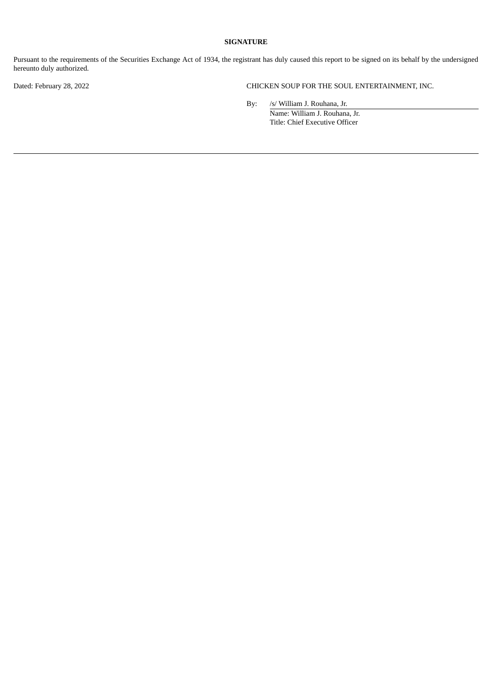## **SIGNATURE**

Pursuant to the requirements of the Securities Exchange Act of 1934, the registrant has duly caused this report to be signed on its behalf by the undersigned hereunto duly authorized.

Dated: February 28, 2022 CHICKEN SOUP FOR THE SOUL ENTERTAINMENT, INC.

By: /s/ William J. Rouhana, Jr. Name: William J. Rouhana, Jr. Title: Chief Executive Officer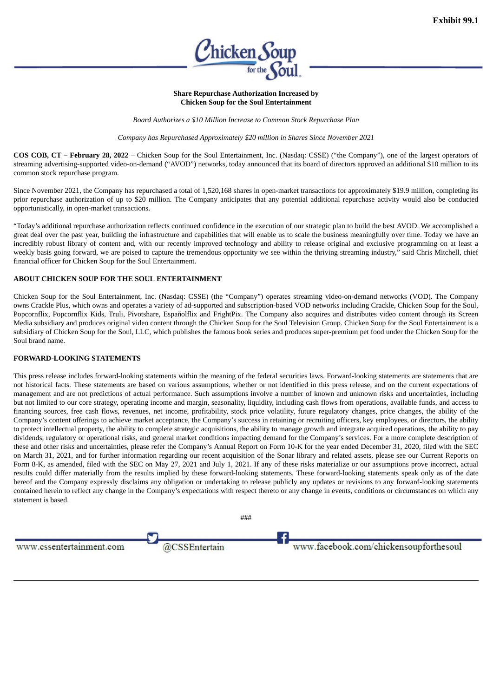

### **Share Repurchase Authorization Increased by Chicken Soup for the Soul Entertainment**

*Board Authorizes a \$10 Million Increase to Common Stock Repurchase Plan*

*Company has Repurchased Approximately \$20 million in Shares Since November 2021*

<span id="page-4-0"></span>**COS COB, CT – February 28, 2022** – Chicken Soup for the Soul Entertainment, Inc. (Nasdaq: CSSE) ("the Company"), one of the largest operators of streaming advertising-supported video-on-demand ("AVOD") networks, today announced that its board of directors approved an additional \$10 million to its common stock repurchase program.

Since November 2021, the Company has repurchased a total of 1,520,168 shares in open-market transactions for approximately \$19.9 million, completing its prior repurchase authorization of up to \$20 million. The Company anticipates that any potential additional repurchase activity would also be conducted opportunistically, in open-market transactions.

"Today's additional repurchase authorization reflects continued confidence in the execution of our strategic plan to build the best AVOD. We accomplished a great deal over the past year, building the infrastructure and capabilities that will enable us to scale the business meaningfully over time. Today we have an incredibly robust library of content and, with our recently improved technology and ability to release original and exclusive programming on at least a weekly basis going forward, we are poised to capture the tremendous opportunity we see within the thriving streaming industry," said Chris Mitchell, chief financial officer for Chicken Soup for the Soul Entertainment.

## **ABOUT CHICKEN SOUP FOR THE SOUL ENTERTAINMENT**

Chicken Soup for the Soul Entertainment, Inc. (Nasdaq: CSSE) (the "Company") operates streaming video-on-demand networks (VOD). The Company owns Crackle Plus, which owns and operates a variety of ad-supported and subscription-based VOD networks including Crackle, Chicken Soup for the Soul, Popcornflix, Popcornflix Kids, Truli, Pivotshare, Españolflix and FrightPix. The Company also acquires and distributes video content through its Screen Media subsidiary and produces original video content through the Chicken Soup for the Soul Television Group. Chicken Soup for the Soul Entertainment is a subsidiary of Chicken Soup for the Soul, LLC, which publishes the famous book series and produces super-premium pet food under the Chicken Soup for the Soul brand name.

## **FORWARD-LOOKING STATEMENTS**

This press release includes forward-looking statements within the meaning of the federal securities laws. Forward-looking statements are statements that are not historical facts. These statements are based on various assumptions, whether or not identified in this press release, and on the current expectations of management and are not predictions of actual performance. Such assumptions involve a number of known and unknown risks and uncertainties, including but not limited to our core strategy, operating income and margin, seasonality, liquidity, including cash flows from operations, available funds, and access to financing sources, free cash flows, revenues, net income, profitability, stock price volatility, future regulatory changes, price changes, the ability of the Company's content offerings to achieve market acceptance, the Company's success in retaining or recruiting officers, key employees, or directors, the ability to protect intellectual property, the ability to complete strategic acquisitions, the ability to manage growth and integrate acquired operations, the ability to pay dividends, regulatory or operational risks, and general market conditions impacting demand for the Company's services. For a more complete description of these and other risks and uncertainties, please refer the Company's Annual Report on Form 10-K for the year ended December 31, 2020, filed with the SEC on March 31, 2021, and for further information regarding our recent acquisition of the Sonar library and related assets, please see our Current Reports on Form 8-K, as amended, filed with the SEC on May 27, 2021 and July 1, 2021. If any of these risks materialize or our assumptions prove incorrect, actual results could differ materially from the results implied by these forward-looking statements. These forward-looking statements speak only as of the date hereof and the Company expressly disclaims any obligation or undertaking to release publicly any updates or revisions to any forward-looking statements contained herein to reflect any change in the Company's expectations with respect thereto or any change in events, conditions or circumstances on which any statement is based.